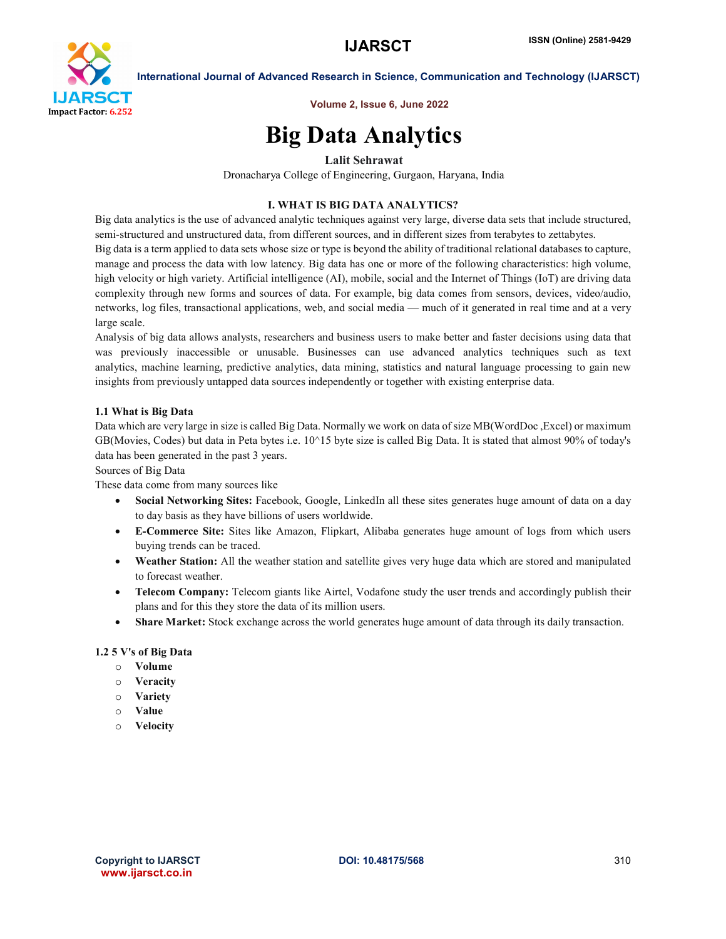

International Journal of Advanced Research in Science, Communication and Technology (IJARSCT)

Volume 2, Issue 6, June 2022

## Big Data Analytics

### Lalit Sehrawat

Dronacharya College of Engineering, Gurgaon, Haryana, India

#### I. WHAT IS BIG DATA ANALYTICS?

Big data analytics is the use of advanced analytic techniques against very large, diverse data sets that include structured, semi-structured and unstructured data, from different sources, and in different sizes from terabytes to zettabytes.

Big data is a term applied to data sets whose size or type is beyond the ability of traditional relational databases to capture, manage and process the data with low latency. Big data has one or more of the following characteristics: high volume, high velocity or high variety. Artificial intelligence (AI), mobile, social and the Internet of Things (IoT) are driving data complexity through new forms and sources of data. For example, big data comes from sensors, devices, video/audio, networks, log files, transactional applications, web, and social media — much of it generated in real time and at a very large scale.

Analysis of big data allows analysts, researchers and business users to make better and faster decisions using data that was previously inaccessible or unusable. Businesses can use advanced analytics techniques such as text analytics, machine learning, predictive analytics, data mining, statistics and natural language processing to gain new insights from previously untapped data sources independently or together with existing enterprise data.

#### 1.1 What is Big Data

Data which are very large in size is called Big Data. Normally we work on data of size MB(WordDoc ,Excel) or maximum GB(Movies, Codes) but data in Peta bytes i.e. 10^15 byte size is called Big Data. It is stated that almost 90% of today's data has been generated in the past 3 years.

Sources of Big Data

These data come from many sources like

- Social Networking Sites: Facebook, Google, LinkedIn all these sites generates huge amount of data on a day to day basis as they have billions of users worldwide.
- E-Commerce Site: Sites like Amazon, Flipkart, Alibaba generates huge amount of logs from which users buying trends can be traced.
- Weather Station: All the weather station and satellite gives very huge data which are stored and manipulated to forecast weather.
- Telecom Company: Telecom giants like Airtel, Vodafone study the user trends and accordingly publish their plans and for this they store the data of its million users.
- Share Market: Stock exchange across the world generates huge amount of data through its daily transaction.

#### 1.2 5 V's of Big Data

- o Volume
- o Veracity
- o Variety
- o Value
- o Velocity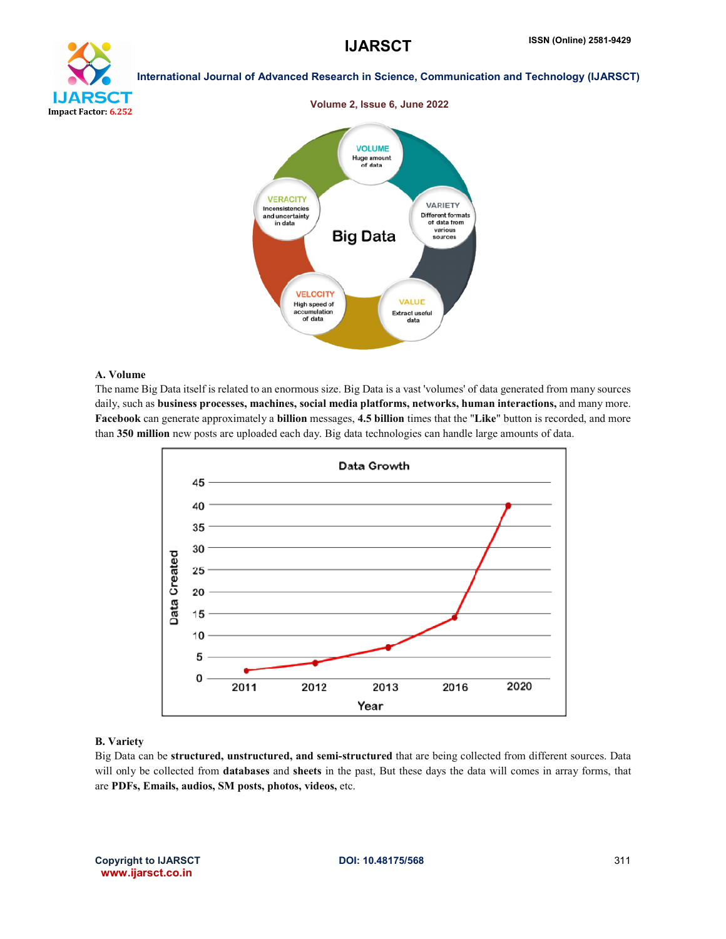

#### International Journal of Advanced Research in Science, Communication and Technology (IJARSCT)



#### A. Volume

The name Big Data itself is related to an enormous size. Big Data is a vast 'volumes' of data generated from many sources daily, such as business processes, machines, social media platforms, networks, human interactions, and many more. Facebook can generate approximately a billion messages, 4.5 billion times that the "Like" button is recorded, and more than 350 million new posts are uploaded each day. Big data technologies can handle large amounts of data.



#### B. Variety

Big Data can be structured, unstructured, and semi-structured that are being collected from different sources. Data will only be collected from **databases** and **sheets** in the past, But these days the data will comes in array forms, that are PDFs, Emails, audios, SM posts, photos, videos, etc.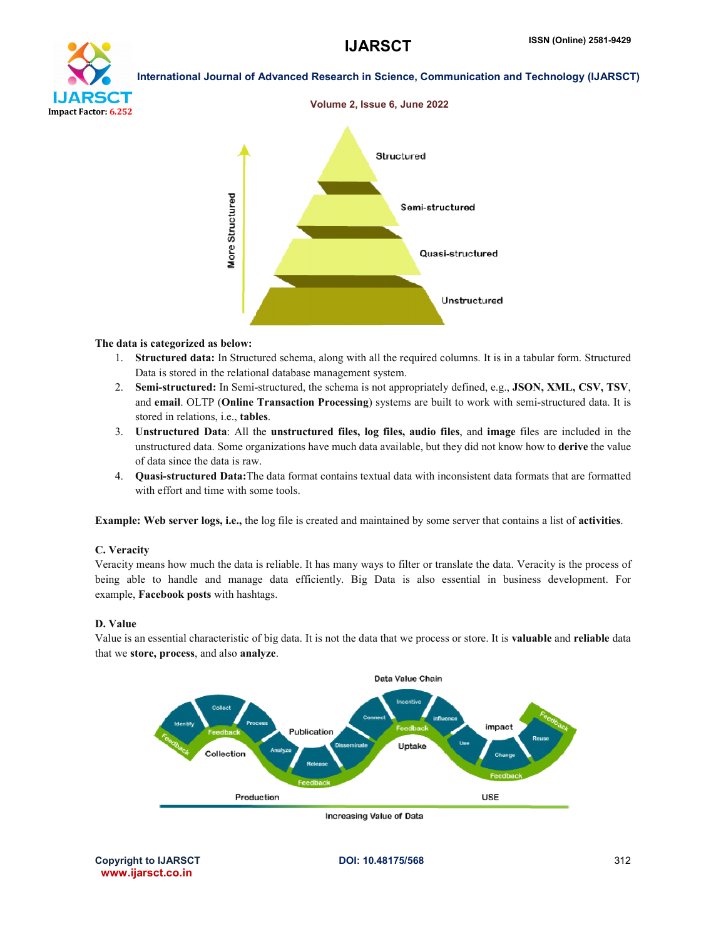# oan Impact Factor: 6.252

International Journal of Advanced Research in Science, Communication and Technology (IJARSCT)



#### The data is categorized as below:

- 1. Structured data: In Structured schema, along with all the required columns. It is in a tabular form. Structured Data is stored in the relational database management system.
- 2. Semi-structured: In Semi-structured, the schema is not appropriately defined, e.g., JSON, XML, CSV, TSV, and email. OLTP (Online Transaction Processing) systems are built to work with semi-structured data. It is stored in relations, i.e., tables.
- 3. Unstructured Data: All the unstructured files, log files, audio files, and image files are included in the unstructured data. Some organizations have much data available, but they did not know how to derive the value of data since the data is raw.
- 4. Quasi-structured Data:The data format contains textual data with inconsistent data formats that are formatted with effort and time with some tools.

Example: Web server logs, i.e., the log file is created and maintained by some server that contains a list of activities.

#### C. Veracity

Veracity means how much the data is reliable. It has many ways to filter or translate the data. Veracity is the process of being able to handle and manage data efficiently. Big Data is also essential in business development. For example, Facebook posts with hashtags.

#### D. Value

Value is an essential characteristic of big data. It is not the data that we process or store. It is valuable and reliable data that we store, process, and also analyze.



Increasing Value of Data

Copyright to IJARSCT **DOI: 10.48175/568** 312 www.ijarsct.co.in